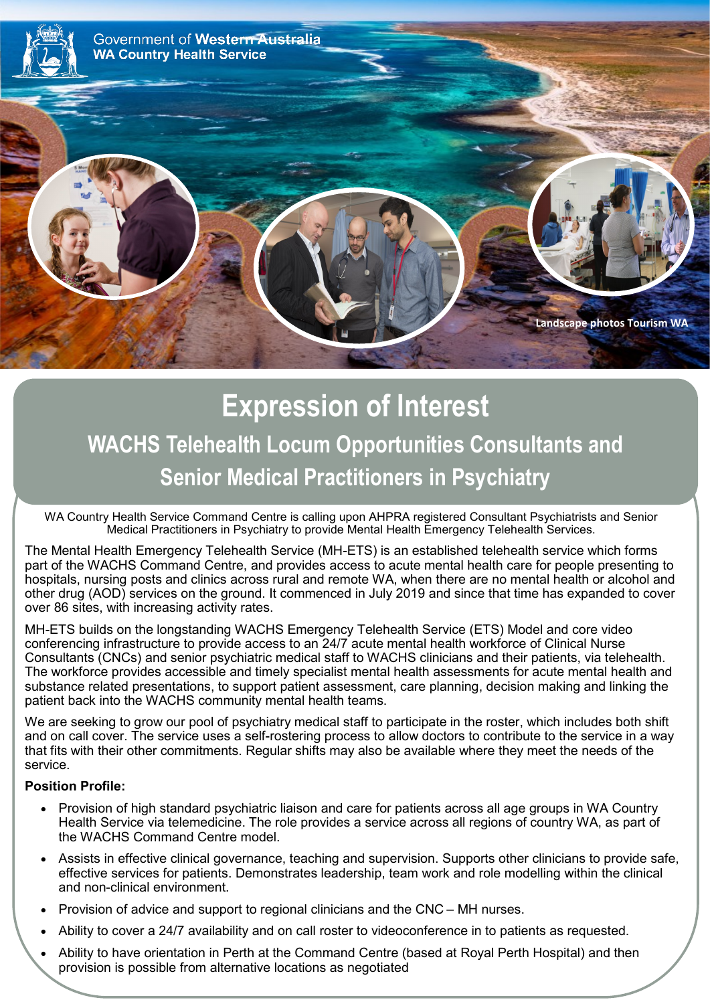

## **Expression of Interest WACHS Telehealth Locum Opportunities Consultants and Senior Medical Practitioners in Psychiatry**

WA Country Health Service Command Centre is calling upon AHPRA registered Consultant Psychiatrists and Senior Medical Practitioners in Psychiatry to provide Mental Health Emergency Telehealth Services.

The Mental Health Emergency Telehealth Service (MH-ETS) is an established telehealth service which forms part of the WACHS Command Centre, and provides access to acute mental health care for people presenting to hospitals, nursing posts and clinics across rural and remote WA, when there are no mental health or alcohol and other drug (AOD) services on the ground. It commenced in July 2019 and since that time has expanded to cover over 86 sites, with increasing activity rates.

MH-ETS builds on the longstanding WACHS Emergency Telehealth Service (ETS) Model and core video conferencing infrastructure to provide access to an 24/7 acute mental health workforce of Clinical Nurse Consultants (CNCs) and senior psychiatric medical staff to WACHS clinicians and their patients, via telehealth. The workforce provides accessible and timely specialist mental health assessments for acute mental health and substance related presentations, to support patient assessment, care planning, decision making and linking the patient back into the WACHS community mental health teams.

We are seeking to grow our pool of psychiatry medical staff to participate in the roster, which includes both shift and on call cover. The service uses a self-rostering process to allow doctors to contribute to the service in a way that fits with their other commitments. Regular shifts may also be available where they meet the needs of the service.

## **Position Profile:**

- Provision of high standard psychiatric liaison and care for patients across all age groups in WA Country Health Service via telemedicine. The role provides a service across all regions of country WA, as part of the WACHS Command Centre model.
- Assists in effective clinical governance, teaching and supervision. Supports other clinicians to provide safe, effective services for patients. Demonstrates leadership, team work and role modelling within the clinical and non-clinical environment.
- Provision of advice and support to regional clinicians and the CNC MH nurses.
- Ability to cover a 24/7 availability and on call roster to videoconference in to patients as requested.
- Ability to have orientation in Perth at the Command Centre (based at Royal Perth Hospital) and then provision is possible from alternative locations as negotiated